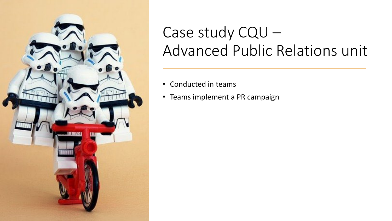

# Case study CQU – Advanced Public Relations unit

- Conducted in teams
- Teams implement a PR campaign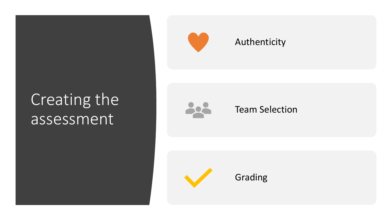# Creating the assessment



### Authenticity



### Team Selection



Grading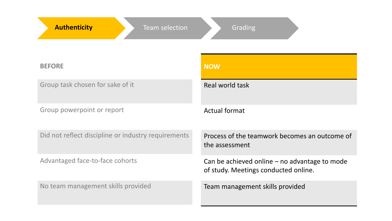| <b>Authenticity</b><br><b>Team selection</b>        | Grading                                                                                 |
|-----------------------------------------------------|-----------------------------------------------------------------------------------------|
| <b>BEFORE</b>                                       | <b>NOW</b>                                                                              |
| Group task chosen for sake of it                    | Real world task                                                                         |
| Group powerpoint or report                          | <b>Actual format</b>                                                                    |
| Did not reflect discipline or industry requirements | Process of the teamwork becomes an outcome of<br>the assessment                         |
| Advantaged face-to-face cohorts                     | Can be achieved online $-$ no advantage to mode<br>of study. Meetings conducted online. |
| No team management skills provided                  | Team management skills provided                                                         |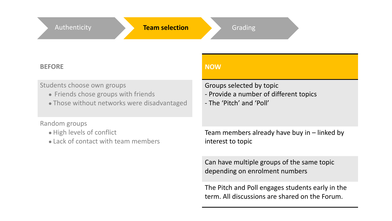#### **BEFORE**

#### Students choose own groups

- Friends chose groups with friends
- Friends chose groups with friends<br>● Those without networks were disadvantaged

#### Random groups

- High levels of conflict
- ndom groups<br>• High levels of conflict<br>• Lack of contact with team members

#### **NOW**

Groups selected by topic

- Provide a number of different topics
- The 'Pitch' and 'Poll'

Team members already have buy in – linked by interest to topic

Can have multiple groups of the same topic depending on enrolment numbers

The Pitch and Poll engages students early in the term. All discussions are shared on the Forum.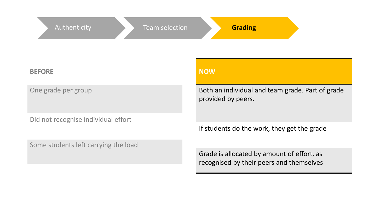| Authenticity<br>Team selection       | <b>Grading</b>                                                         |
|--------------------------------------|------------------------------------------------------------------------|
| <b>BEFORE</b>                        | <b>NOW</b>                                                             |
| One grade per group                  | Both an individual and team grade. Part of grade<br>provided by peers. |
| Did not recognise individual effort  | If students do the work, they get the grade                            |
| Some students left carrying the load | Grade is allocated by amount of effort as                              |

Grade is allocated by amount of effort, as recognised by their peers and themselves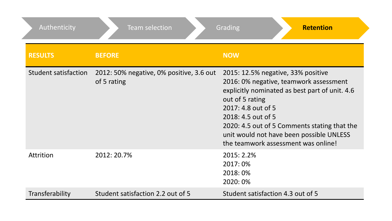| Authenticity         | <b>Team selection</b>                                   | <b>Retention</b><br>Grading                                                                                                                                                                                                                                                                                                      |
|----------------------|---------------------------------------------------------|----------------------------------------------------------------------------------------------------------------------------------------------------------------------------------------------------------------------------------------------------------------------------------------------------------------------------------|
| <b>RESULTS</b>       | <b>BEFORE</b>                                           | <b>NOW</b>                                                                                                                                                                                                                                                                                                                       |
| Student satisfaction | 2012: 50% negative, 0% positive, 3.6 out<br>of 5 rating | 2015: 12.5% negative, 33% positive<br>2016: 0% negative, teamwork assessment<br>explicitly nominated as best part of unit. 4.6<br>out of 5 rating<br>2017: 4.8 out of 5<br>2018: 4.5 out of 5<br>2020: 4.5 out of 5 Comments stating that the<br>unit would not have been possible UNLESS<br>the teamwork assessment was online! |
| <b>Attrition</b>     | 2012: 20.7%                                             | 2015: 2.2%<br>2017:0%<br>2018:0%<br>2020: 0%                                                                                                                                                                                                                                                                                     |
| Transferability      | Student satisfaction 2.2 out of 5                       | Student satisfaction 4.3 out of 5                                                                                                                                                                                                                                                                                                |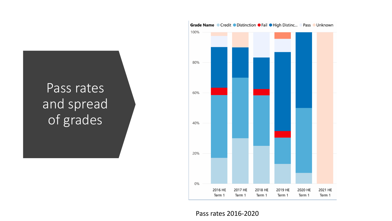### Pass rates and spread of grades



Pass rates 2016-2020